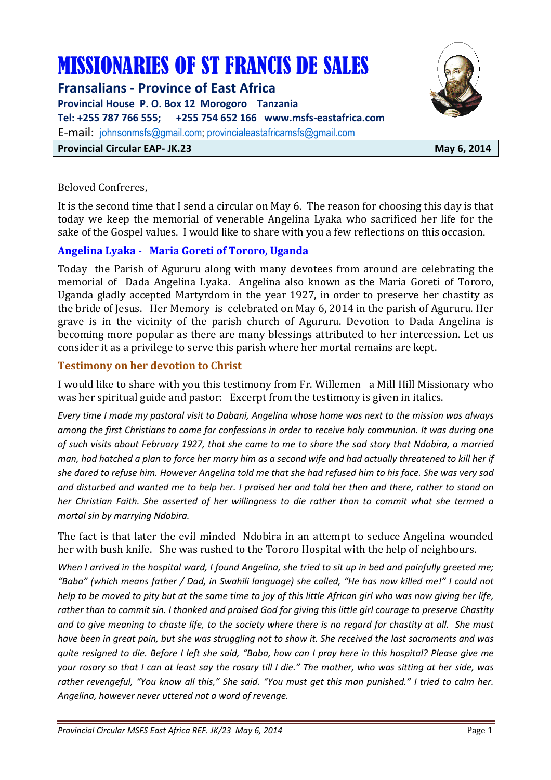# MISSIONARIES OF ST FRANCIS DE SALES

**Fransalians - Province of East Africa Provincial House P. O. Box 12 Morogoro Tanzania Tel: +255 787 766 555; +255 754 652 166 www.msfs-eastafrica.com**  E-mail: johnsonmsfs@gmail.com; provincialeastafricamsfs@gmail.com **Provincial Circular EAP- JK.23** May 6, 2014



Beloved Confreres,

It is the second time that I send a circular on May 6. The reason for choosing this day is that today we keep the memorial of venerable Angelina Lyaka who sacrificed her life for the sake of the Gospel values. I would like to share with you a few reflections on this occasion.

#### **Angelina Lyaka - Maria Goreti of Tororo, Uganda**

Today the Parish of Agururu along with many devotees from around are celebrating the memorial of Dada Angelina Lyaka. Angelina also known as the Maria Goreti of Tororo, Uganda gladly accepted Martyrdom in the year 1927, in order to preserve her chastity as the bride of Jesus. Her Memory is celebrated on May 6, 2014 in the parish of Agururu. Her grave is in the vicinity of the parish church of Agururu. Devotion to Dada Angelina is becoming more popular as there are many blessings attributed to her intercession. Let us consider it as a privilege to serve this parish where her mortal remains are kept.

## **Testimony on her devotion to Christ**

I would like to share with you this testimony from Fr. Willemen a Mill Hill Missionary who was her spiritual guide and pastor: Excerpt from the testimony is given in italics.

*Every time I made my pastoral visit to Dabani, Angelina whose home was next to the mission was always among the first Christians to come for confessions in order to receive holy communion. It was during one of such visits about February 1927, that she came to me to share the sad story that Ndobira, a married man, had hatched a plan to force her marry him as a second wife and had actually threatened to kill her if she dared to refuse him. However Angelina told me that she had refused him to his face. She was very sad and disturbed and wanted me to help her. I praised her and told her then and there, rather to stand on her Christian Faith. She asserted of her willingness to die rather than to commit what she termed a mortal sin by marrying Ndobira.* 

The fact is that later the evil minded Ndobira in an attempt to seduce Angelina wounded her with bush knife. She was rushed to the Tororo Hospital with the help of neighbours.

*When I arrived in the hospital ward, I found Angelina, she tried to sit up in bed and painfully greeted me; "Baba" (which means father / Dad, in Swahili language) she called, "He has now killed me!" I could not help to be moved to pity but at the same time to joy of this little African girl who was now giving her life, rather than to commit sin. I thanked and praised God for giving this little girl courage to preserve Chastity and to give meaning to chaste life, to the society where there is no regard for chastity at all. She must have been in great pain, but she was struggling not to show it. She received the last sacraments and was quite resigned to die. Before I left she said, "Baba, how can I pray here in this hospital? Please give me your rosary so that I can at least say the rosary till I die." The mother, who was sitting at her side, was rather revengeful, "You know all this," She said. "You must get this man punished." I tried to calm her. Angelina, however never uttered not a word of revenge.*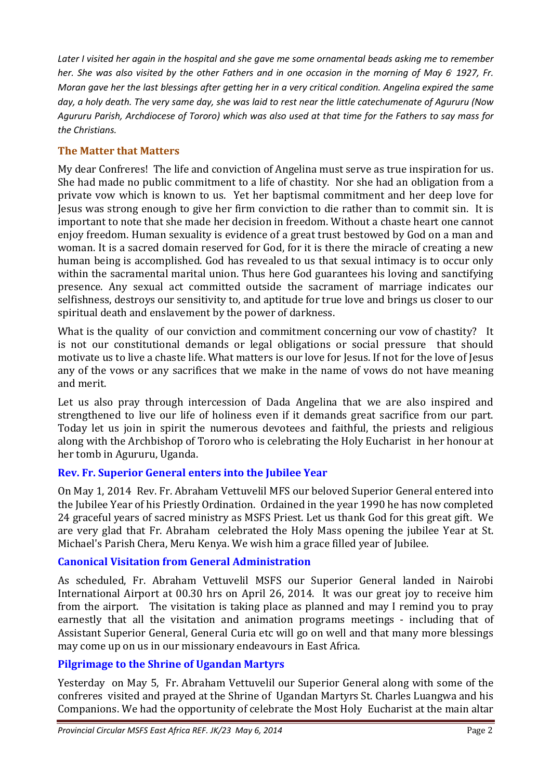*Later I visited her again in the hospital and she gave me some ornamental beads asking me to remember her. She was also visited by the other Fathers and in one occasion in the morning of May 6, 1927, Fr. Moran gave her the last blessings after getting her in a very critical condition. Angelina expired the same day, a holy death. The very same day, she was laid to rest near the little catechumenate of Agururu (Now Agururu Parish, Archdiocese of Tororo) which was also used at that time for the Fathers to say mass for the Christians.* 

# **The Matter that Matters**

My dear Confreres! The life and conviction of Angelina must serve as true inspiration for us. She had made no public commitment to a life of chastity. Nor she had an obligation from a private vow which is known to us. Yet her baptismal commitment and her deep love for Jesus was strong enough to give her firm conviction to die rather than to commit sin. It is important to note that she made her decision in freedom. Without a chaste heart one cannot enjoy freedom. Human sexuality is evidence of a great trust bestowed by God on a man and woman. It is a sacred domain reserved for God, for it is there the miracle of creating a new human being is accomplished. God has revealed to us that sexual intimacy is to occur only within the sacramental marital union. Thus here God guarantees his loving and sanctifying presence. Any sexual act committed outside the sacrament of marriage indicates our selfishness, destroys our sensitivity to, and aptitude for true love and brings us closer to our spiritual death and enslavement by the power of darkness.

What is the quality of our conviction and commitment concerning our vow of chastity? It is not our constitutional demands or legal obligations or social pressure that should motivate us to live a chaste life. What matters is our love for Jesus. If not for the love of Jesus any of the vows or any sacrifices that we make in the name of vows do not have meaning and merit.

Let us also pray through intercession of Dada Angelina that we are also inspired and strengthened to live our life of holiness even if it demands great sacrifice from our part. Today let us join in spirit the numerous devotees and faithful, the priests and religious along with the Archbishop of Tororo who is celebrating the Holy Eucharist in her honour at her tomb in Agururu, Uganda.

## **Rev. Fr. Superior General enters into the Jubilee Year**

On May 1, 2014 Rev. Fr. Abraham Vettuvelil MFS our beloved Superior General entered into the Jubilee Year of his Priestly Ordination. Ordained in the year 1990 he has now completed 24 graceful years of sacred ministry as MSFS Priest. Let us thank God for this great gift. We are very glad that Fr. Abraham celebrated the Holy Mass opening the jubilee Year at St. Michael's Parish Chera, Meru Kenya. We wish him a grace filled year of Jubilee.

# **Canonical Visitation from General Administration**

As scheduled, Fr. Abraham Vettuvelil MSFS our Superior General landed in Nairobi International Airport at 00.30 hrs on April 26, 2014. It was our great joy to receive him from the airport. The visitation is taking place as planned and may I remind you to pray earnestly that all the visitation and animation programs meetings - including that of Assistant Superior General, General Curia etc will go on well and that many more blessings may come up on us in our missionary endeavours in East Africa.

# **Pilgrimage to the Shrine of Ugandan Martyrs**

Yesterday on May 5, Fr. Abraham Vettuvelil our Superior General along with some of the confreres visited and prayed at the Shrine of Ugandan Martyrs St. Charles Luangwa and his Companions. We had the opportunity of celebrate the Most Holy Eucharist at the main altar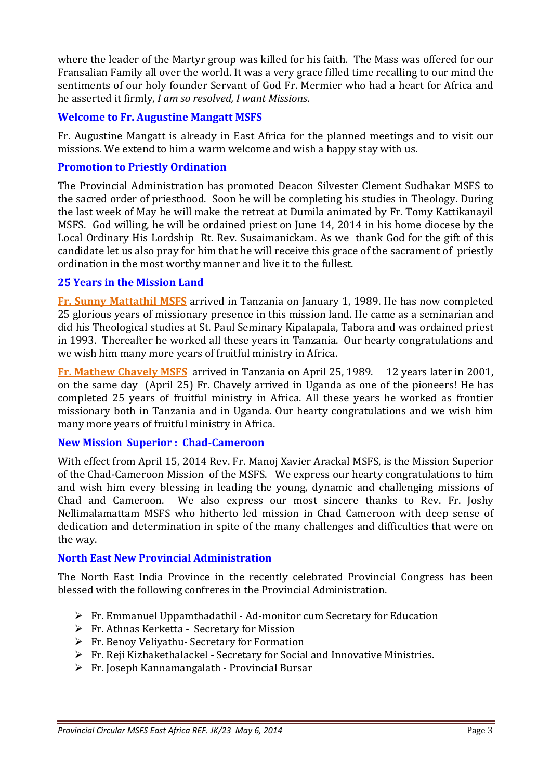where the leader of the Martyr group was killed for his faith. The Mass was offered for our Fransalian Family all over the world. It was a very grace filled time recalling to our mind the sentiments of our holy founder Servant of God Fr. Mermier who had a heart for Africa and he asserted it firmly, *I am so resolved, I want Missions*.

## **Welcome to Fr. Augustine Mangatt MSFS**

Fr. Augustine Mangatt is already in East Africa for the planned meetings and to visit our missions. We extend to him a warm welcome and wish a happy stay with us.

## **Promotion to Priestly Ordination**

The Provincial Administration has promoted Deacon Silvester Clement Sudhakar MSFS to the sacred order of priesthood. Soon he will be completing his studies in Theology. During the last week of May he will make the retreat at Dumila animated by Fr. Tomy Kattikanayil MSFS. God willing, he will be ordained priest on June 14, 2014 in his home diocese by the Local Ordinary His Lordship Rt. Rev. Susaimanickam. As we thank God for the gift of this candidate let us also pray for him that he will receive this grace of the sacrament of priestly ordination in the most worthy manner and live it to the fullest.

## **25 Years in the Mission Land**

**Fr. Sunny Mattathil MSFS** arrived in Tanzania on January 1, 1989. He has now completed 25 glorious years of missionary presence in this mission land. He came as a seminarian and did his Theological studies at St. Paul Seminary Kipalapala, Tabora and was ordained priest in 1993. Thereafter he worked all these years in Tanzania. Our hearty congratulations and we wish him many more years of fruitful ministry in Africa.

**Fr. Mathew Chavely MSFS** arrived in Tanzania on April 25, 1989. 12 years later in 2001, on the same day (April 25) Fr. Chavely arrived in Uganda as one of the pioneers! He has completed 25 years of fruitful ministry in Africa. All these years he worked as frontier missionary both in Tanzania and in Uganda. Our hearty congratulations and we wish him many more years of fruitful ministry in Africa.

#### **New Mission Superior : Chad-Cameroon**

With effect from April 15, 2014 Rev. Fr. Manoj Xavier Arackal MSFS, is the Mission Superior of the Chad-Cameroon Mission of the MSFS. We express our hearty congratulations to him and wish him every blessing in leading the young, dynamic and challenging missions of Chad and Cameroon. We also express our most sincere thanks to Rev. Fr. Joshy Nellimalamattam MSFS who hitherto led mission in Chad Cameroon with deep sense of dedication and determination in spite of the many challenges and difficulties that were on the way.

#### **North East New Provincial Administration**

The North East India Province in the recently celebrated Provincial Congress has been blessed with the following confreres in the Provincial Administration.

- $\triangleright$  Fr. Emmanuel Uppamthadathil Ad-monitor cum Secretary for Education
- $\triangleright$  Fr. Athnas Kerketta Secretary for Mission
- $\triangleright$  Fr. Benoy Veliyathu- Secretary for Formation
- Fr. Reji Kizhakethalackel Secretary for Social and Innovative Ministries.
- Fr. Joseph Kannamangalath Provincial Bursar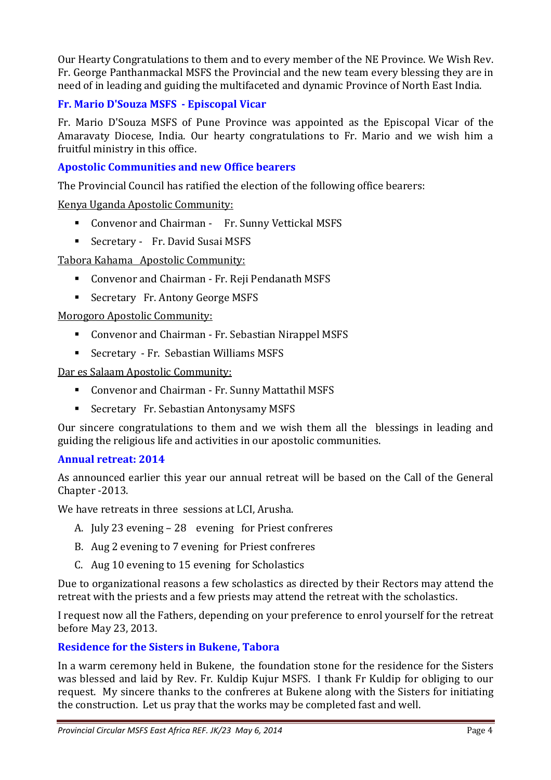Our Hearty Congratulations to them and to every member of the NE Province. We Wish Rev. Fr. George Panthanmackal MSFS the Provincial and the new team every blessing they are in need of in leading and guiding the multifaceted and dynamic Province of North East India.

# **Fr. Mario D'Souza MSFS - Episcopal Vicar**

Fr. Mario D'Souza MSFS of Pune Province was appointed as the Episcopal Vicar of the Amaravaty Diocese, India. Our hearty congratulations to Fr. Mario and we wish him a fruitful ministry in this office.

## **Apostolic Communities and new Office bearers**

The Provincial Council has ratified the election of the following office bearers:

Kenya Uganda Apostolic Community:

- **Convenor and Chairman Fr. Sunny Vettickal MSFS**
- Secretary Fr. David Susai MSFS

Tabora Kahama Apostolic Community:

- **Convenor and Chairman Fr. Reji Pendanath MSFS**
- **Example 3 Secretary Fr. Antony George MSFS**

Morogoro Apostolic Community:

- **Convenor and Chairman Fr. Sebastian Nirappel MSFS**
- **EXECUTE:** Sebastian Williams MSFS

Dar es Salaam Apostolic Community:

- **Convenor and Chairman Fr. Sunny Mattathil MSFS**
- **EXECTE SECTED FR. Sebastian Antonysamy MSFS**

Our sincere congratulations to them and we wish them all the blessings in leading and guiding the religious life and activities in our apostolic communities.

#### **Annual retreat: 2014**

As announced earlier this year our annual retreat will be based on the Call of the General Chapter -2013.

We have retreats in three sessions at LCI, Arusha.

- A. July 23 evening 28 evening for Priest confreres
- B. Aug 2 evening to 7 evening for Priest confreres
- C. Aug 10 evening to 15 evening for Scholastics

Due to organizational reasons a few scholastics as directed by their Rectors may attend the retreat with the priests and a few priests may attend the retreat with the scholastics.

I request now all the Fathers, depending on your preference to enrol yourself for the retreat before May 23, 2013.

#### **Residence for the Sisters in Bukene, Tabora**

In a warm ceremony held in Bukene, the foundation stone for the residence for the Sisters was blessed and laid by Rev. Fr. Kuldip Kujur MSFS. I thank Fr Kuldip for obliging to our request. My sincere thanks to the confreres at Bukene along with the Sisters for initiating the construction. Let us pray that the works may be completed fast and well.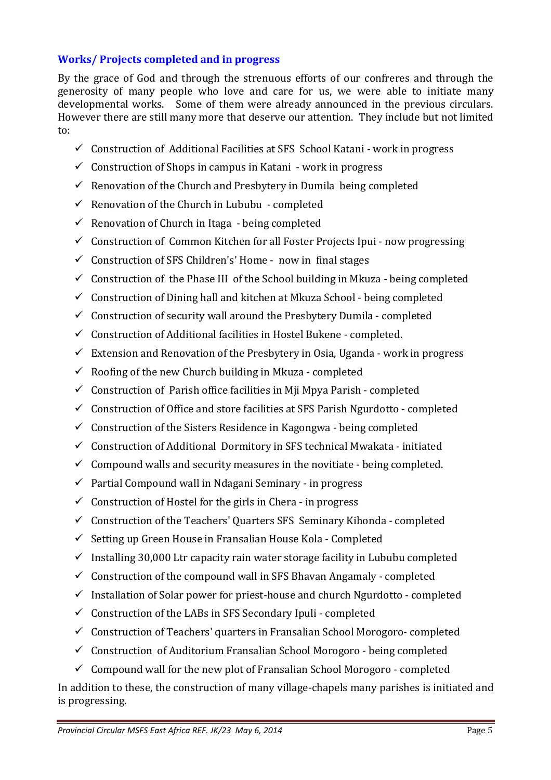## **Works/ Projects completed and in progress**

By the grace of God and through the strenuous efforts of our confreres and through the generosity of many people who love and care for us, we were able to initiate many developmental works. Some of them were already announced in the previous circulars. However there are still many more that deserve our attention. They include but not limited to:

- $\checkmark$  Construction of Additional Facilities at SFS School Katani work in progress
- $\checkmark$  Construction of Shops in campus in Katani work in progress
- $\checkmark$  Renovation of the Church and Presbytery in Dumila being completed
- $\checkmark$  Renovation of the Church in Lububu completed
- $\checkmark$  Renovation of Church in Itaga being completed
- $\checkmark$  Construction of Common Kitchen for all Foster Projects Ipui now progressing
- $\checkmark$  Construction of SFS Children's' Home now in final stages
- $\checkmark$  Construction of the Phase III of the School building in Mkuza being completed
- $\checkmark$  Construction of Dining hall and kitchen at Mkuza School being completed
- $\checkmark$  Construction of security wall around the Presbytery Dumila completed
- $\checkmark$  Construction of Additional facilities in Hostel Bukene completed.
- $\checkmark$  Extension and Renovation of the Presbytery in Osia, Uganda work in progress
- $\checkmark$  Roofing of the new Church building in Mkuza completed
- $\checkmark$  Construction of Parish office facilities in Mii Mpya Parish completed
- $\checkmark$  Construction of Office and store facilities at SFS Parish Ngurdotto completed
- $\checkmark$  Construction of the Sisters Residence in Kagongwa being completed
- $\checkmark$  Construction of Additional Dormitory in SFS technical Mwakata initiated
- $\checkmark$  Compound walls and security measures in the novitiate being completed.
- $\checkmark$  Partial Compound wall in Ndagani Seminary in progress
- $\checkmark$  Construction of Hostel for the girls in Chera in progress
- $\checkmark$  Construction of the Teachers' Quarters SFS Seminary Kihonda completed
- $\checkmark$  Setting up Green House in Fransalian House Kola Completed
- $\checkmark$  Installing 30,000 Ltr capacity rain water storage facility in Lububu completed
- $\checkmark$  Construction of the compound wall in SFS Bhavan Angamaly completed
- $\checkmark$  Installation of Solar power for priest-house and church Ngurdotto completed
- $\checkmark$  Construction of the LABs in SFS Secondary Ipuli completed
- $\checkmark$  Construction of Teachers' quarters in Fransalian School Morogoro-completed
- $\checkmark$  Construction of Auditorium Fransalian School Morogoro being completed
- $\checkmark$  Compound wall for the new plot of Fransalian School Morogoro completed

In addition to these, the construction of many village-chapels many parishes is initiated and is progressing.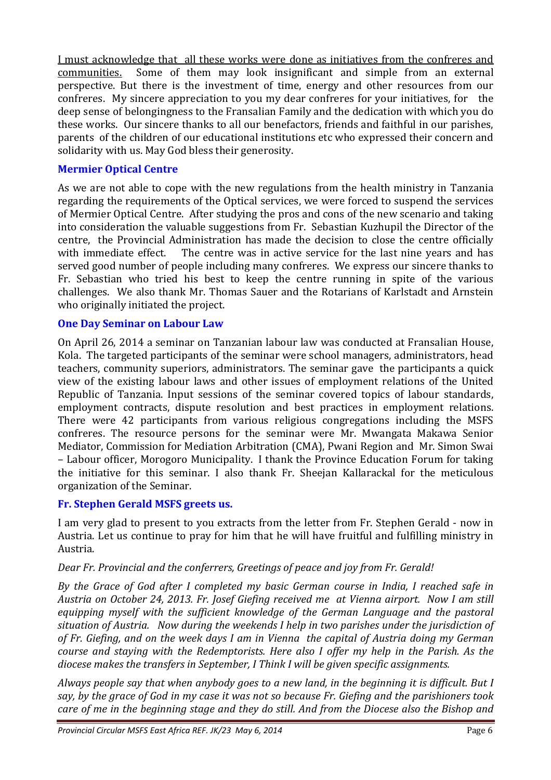I must acknowledge that all these works were done as initiatives from the confreres and communities. Some of them may look insignificant and simple from an external perspective. But there is the investment of time, energy and other resources from our confreres. My sincere appreciation to you my dear confreres for your initiatives, for the deep sense of belongingness to the Fransalian Family and the dedication with which you do these works. Our sincere thanks to all our benefactors, friends and faithful in our parishes, parents of the children of our educational institutions etc who expressed their concern and solidarity with us. May God bless their generosity.

## **Mermier Optical Centre**

As we are not able to cope with the new regulations from the health ministry in Tanzania regarding the requirements of the Optical services, we were forced to suspend the services of Mermier Optical Centre. After studying the pros and cons of the new scenario and taking into consideration the valuable suggestions from Fr. Sebastian Kuzhupil the Director of the centre, the Provincial Administration has made the decision to close the centre officially with immediate effect. The centre was in active service for the last nine years and has served good number of people including many confreres. We express our sincere thanks to Fr. Sebastian who tried his best to keep the centre running in spite of the various challenges. We also thank Mr. Thomas Sauer and the Rotarians of Karlstadt and Arnstein who originally initiated the project.

#### **One Day Seminar on Labour Law**

On April 26, 2014 a seminar on Tanzanian labour law was conducted at Fransalian House, Kola. The targeted participants of the seminar were school managers, administrators, head teachers, community superiors, administrators. The seminar gave the participants a quick view of the existing labour laws and other issues of employment relations of the United Republic of Tanzania. Input sessions of the seminar covered topics of labour standards, employment contracts, dispute resolution and best practices in employment relations. There were 42 participants from various religious congregations including the MSFS confreres. The resource persons for the seminar were Mr. Mwangata Makawa Senior Mediator, Commission for Mediation Arbitration (CMA), Pwani Region and Mr. Simon Swai – Labour officer, Morogoro Municipality. I thank the Province Education Forum for taking the initiative for this seminar. I also thank Fr. Sheejan Kallarackal for the meticulous organization of the Seminar.

#### **Fr. Stephen Gerald MSFS greets us.**

I am very glad to present to you extracts from the letter from Fr. Stephen Gerald - now in Austria. Let us continue to pray for him that he will have fruitful and fulfilling ministry in Austria.

#### *Dear Fr. Provincial and the conferrers, Greetings of peace and joy from Fr. Gerald!*

*By the Grace of God after I completed my basic German course in India, I reached safe in Austria on October 24, 2013. Fr. Josef Giefing received me at Vienna airport. Now I am still equipping myself with the sufficient knowledge of the German Language and the pastoral situation of Austria. Now during the weekends I help in two parishes under the jurisdiction of of Fr. Giefing, and on the week days I am in Vienna the capital of Austria doing my German course and staying with the Redemptorists. Here also I offer my help in the Parish. As the diocese makes the transfers in September, I Think I will be given specific assignments.* 

*Always people say that when anybody goes to a new land, in the beginning it is difficult. But I say, by the grace of God in my case it was not so because Fr. Giefing and the parishioners took care of me in the beginning stage and they do still. And from the Diocese also the Bishop and*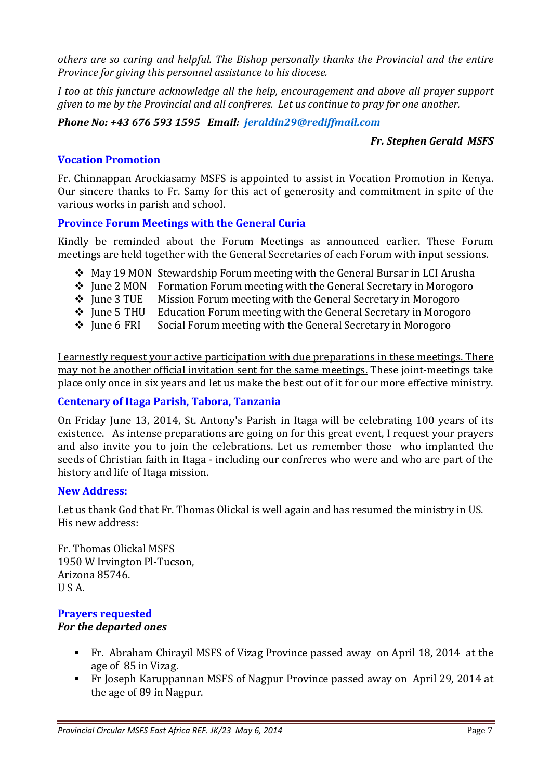*others are so caring and helpful. The Bishop personally thanks the Provincial and the entire Province for giving this personnel assistance to his diocese.* 

*I too at this juncture acknowledge all the help, encouragement and above all prayer support given to me by the Provincial and all confreres. Let us continue to pray for one another.* 

## *Phone No: +43 676 593 1595 Email: jeraldin29@rediffmail.com*

## *Fr. Stephen Gerald MSFS*

## **Vocation Promotion**

Fr. Chinnappan Arockiasamy MSFS is appointed to assist in Vocation Promotion in Kenya. Our sincere thanks to Fr. Samy for this act of generosity and commitment in spite of the various works in parish and school.

## **Province Forum Meetings with the General Curia**

Kindly be reminded about the Forum Meetings as announced earlier. These Forum meetings are held together with the General Secretaries of each Forum with input sessions.

- $\div$  May 19 MON Stewardship Forum meeting with the General Bursar in LCI Arusha
- ❖ June 2 MON Formation Forum meeting with the General Secretary in Morogoro
- $\cdot$  June 3 TUE Mission Forum meeting with the General Secretary in Morogoro
- $\div$  June 5 THU Education Forum meeting with the General Secretary in Morogoro
- $\div$  June 6 FRI Social Forum meeting with the General Secretary in Morogoro

I earnestly request your active participation with due preparations in these meetings. There may not be another official invitation sent for the same meetings. These joint-meetings take place only once in six years and let us make the best out of it for our more effective ministry.

#### **Centenary of Itaga Parish, Tabora, Tanzania**

On Friday June 13, 2014, St. Antony's Parish in Itaga will be celebrating 100 years of its existence. As intense preparations are going on for this great event, I request your prayers and also invite you to join the celebrations. Let us remember those who implanted the seeds of Christian faith in Itaga - including our confreres who were and who are part of the history and life of Itaga mission.

#### **New Address:**

Let us thank God that Fr. Thomas Olickal is well again and has resumed the ministry in US. His new address:

Fr. Thomas Olickal MSFS 1950 W Irvington Pl-Tucson, Arizona 85746. U S A.

## **Prayers requested**

#### *For the departed ones*

- Fr. Abraham Chirayil MSFS of Vizag Province passed away on April 18, 2014 at the age of 85 in Vizag.
- Fr Joseph Karuppannan MSFS of Nagpur Province passed away on April 29, 2014 at the age of 89 in Nagpur.